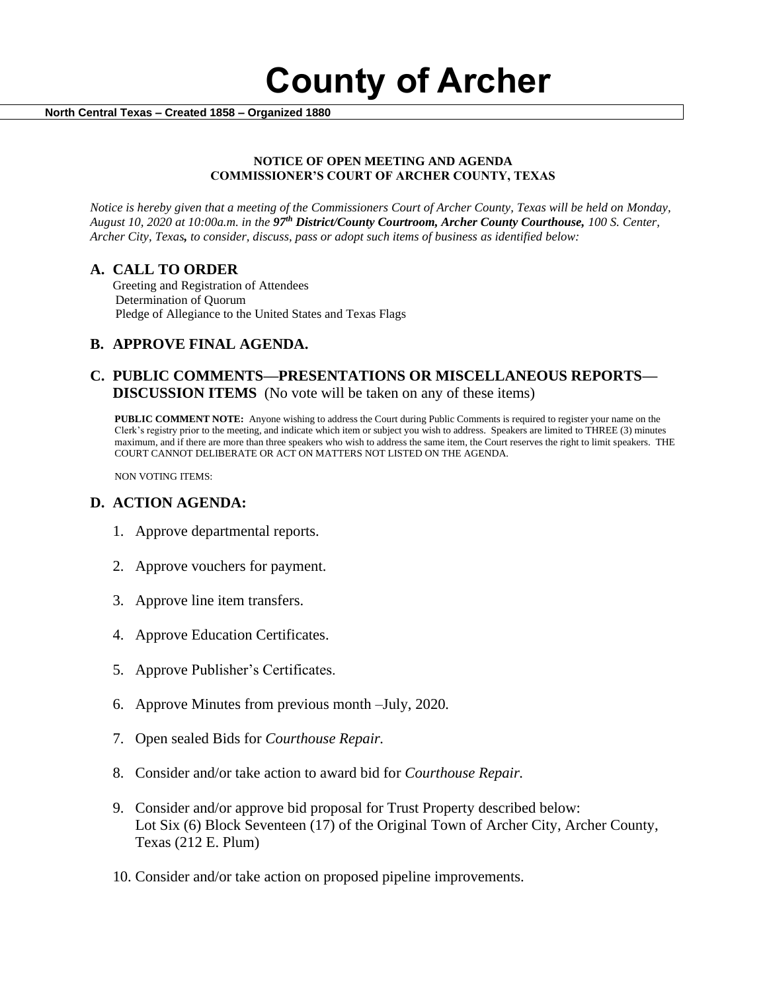**County of Archer** 

 **North Central Texas – Created 1858 – Organized 1880**

#### **NOTICE OF OPEN MEETING AND AGENDA COMMISSIONER'S COURT OF ARCHER COUNTY, TEXAS**

*Notice is hereby given that a meeting of the Commissioners Court of Archer County, Texas will be held on Monday, August 10, 2020 at 10:00a.m. in the 97th District/County Courtroom, Archer County Courthouse, 100 S. Center, Archer City, Texas, to consider, discuss, pass or adopt such items of business as identified below:*

#### **A. CALL TO ORDER**

 Greeting and Registration of Attendees Determination of Quorum Pledge of Allegiance to the United States and Texas Flags

# **B. APPROVE FINAL AGENDA.**

# **C. PUBLIC COMMENTS—PRESENTATIONS OR MISCELLANEOUS REPORTS— DISCUSSION ITEMS** (No vote will be taken on any of these items)

**PUBLIC COMMENT NOTE:** Anyone wishing to address the Court during Public Comments is required to register your name on the Clerk's registry prior to the meeting, and indicate which item or subject you wish to address. Speakers are limited to THREE (3) minutes maximum, and if there are more than three speakers who wish to address the same item, the Court reserves the right to limit speakers. THE COURT CANNOT DELIBERATE OR ACT ON MATTERS NOT LISTED ON THE AGENDA.

NON VOTING ITEMS:

### **D. ACTION AGENDA:**

- 1. Approve departmental reports.
- 2. Approve vouchers for payment.
- 3. Approve line item transfers.
- 4. Approve Education Certificates.
- 5. Approve Publisher's Certificates.
- 6. Approve Minutes from previous month –July, 2020*.*
- 7. Open sealed Bids for *Courthouse Repair.*
- 8. Consider and/or take action to award bid for *Courthouse Repair.*
- 9. Consider and/or approve bid proposal for Trust Property described below: Lot Six (6) Block Seventeen (17) of the Original Town of Archer City, Archer County, Texas (212 E. Plum)
- 10. Consider and/or take action on proposed pipeline improvements.